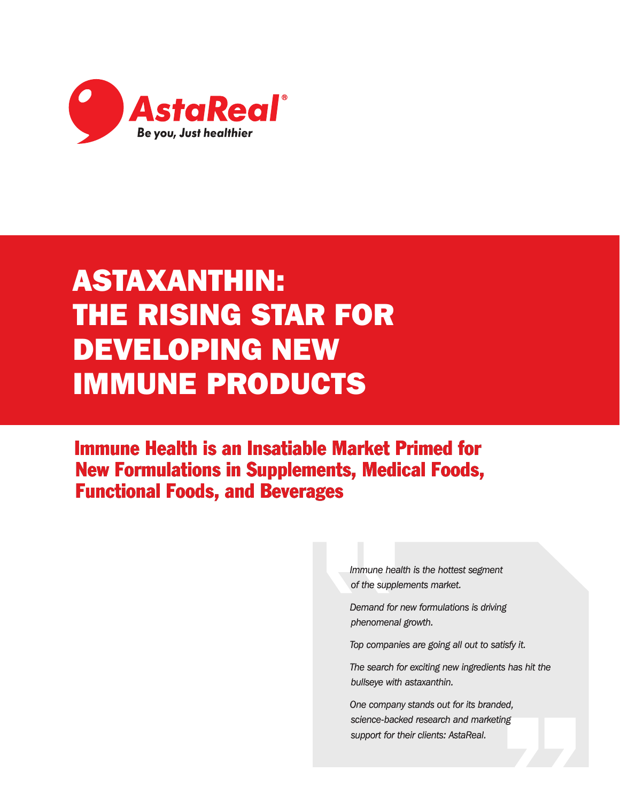

# ASTAXANTHIN: THE RISING STAR FOR DEVELOPING NEW IMMUNE PRODUCTS

Immune Health is an Insatiable Market Primed for New Formulations in Supplements, Medical Foods, Functional Foods, and Beverages

> *Immune health is the hottest segment of the supplements market.*

*Demand for new formulations is driving phenomenal growth.*

*Top companies are going all out to satisfy it.*

*The search for exciting new ingredients has hit the bullseye with astaxanthin.*

*One company stands out for its branded, science-backed research and marketing support for their clients: AstaReal.*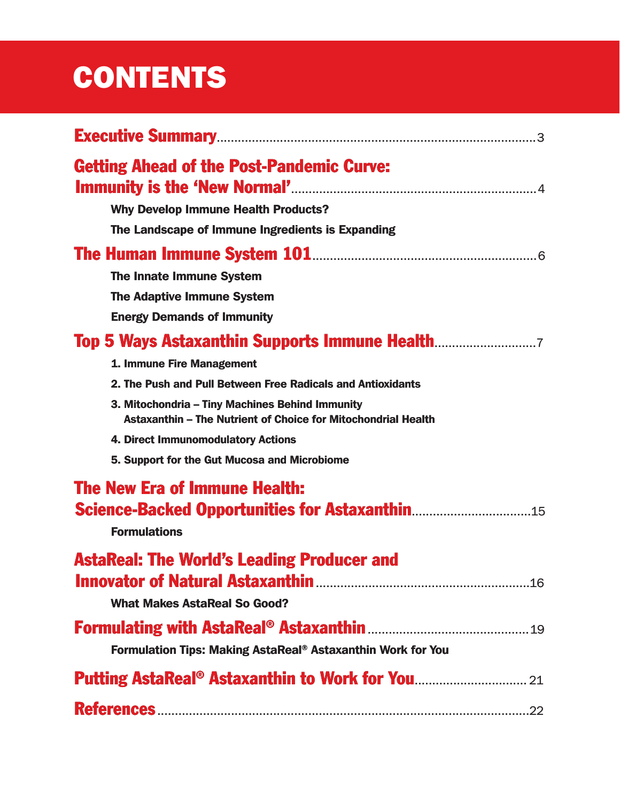# **CONTENTS**

| <b>Getting Ahead of the Post-Pandemic Curve:</b>                                                                 |
|------------------------------------------------------------------------------------------------------------------|
| <b>Why Develop Immune Health Products?</b>                                                                       |
| The Landscape of Immune Ingredients is Expanding                                                                 |
|                                                                                                                  |
| <b>The Innate Immune System</b>                                                                                  |
| <b>The Adaptive Immune System</b>                                                                                |
| <b>Energy Demands of Immunity</b>                                                                                |
| <b>Top 5 Ways Astaxanthin Supports Immune Health</b> 7                                                           |
| 1. Immune Fire Management                                                                                        |
| 2. The Push and Pull Between Free Radicals and Antioxidants                                                      |
| 3. Mitochondria - Tiny Machines Behind Immunity<br>Astaxanthin - The Nutrient of Choice for Mitochondrial Health |
| 4. Direct Immunomodulatory Actions                                                                               |
| 5. Support for the Gut Mucosa and Microbiome                                                                     |
| <b>The New Era of Immune Health:</b>                                                                             |
| <b>Formulations</b>                                                                                              |
| <b>AstaReal: The World's Leading Producer and</b>                                                                |
|                                                                                                                  |
| <b>What Makes AstaReal So Good?</b>                                                                              |
|                                                                                                                  |
| Formulation Tips: Making AstaReal® Astaxanthin Work for You                                                      |
|                                                                                                                  |
|                                                                                                                  |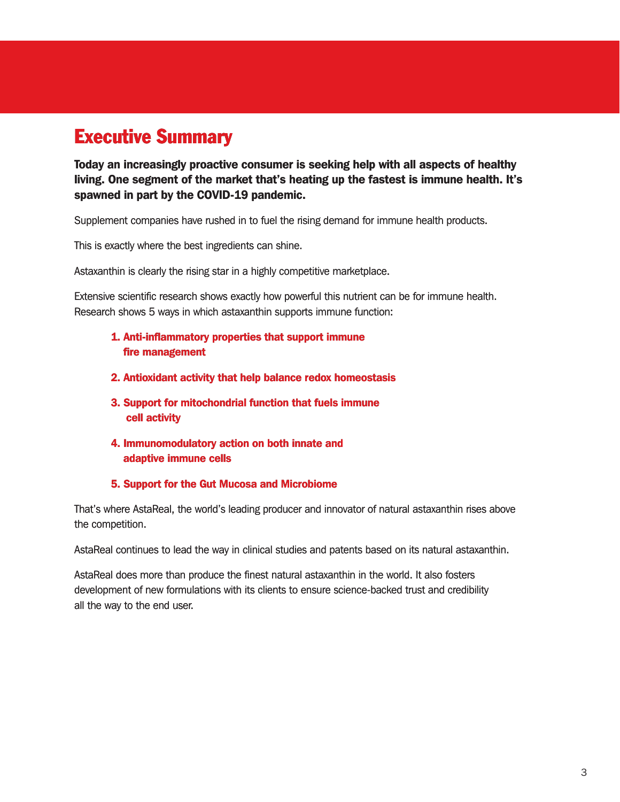# Executive Summary

Today an increasingly proactive consumer is seeking help with all aspects of healthy living. One segment of the market that's heating up the fastest is immune health. It's spawned in part by the COVID-19 pandemic.

Supplement companies have rushed in to fuel the rising demand for immune health products.

This is exactly where the best ingredients can shine.

Astaxanthin is clearly the rising star in a highly competitive marketplace.

Extensive scientific research shows exactly how powerful this nutrient can be for immune health. Research shows 5 ways in which astaxanthin supports immune function:

- 1. Anti-inflammatory properties that support immune fire management
- 2. Antioxidant activity that help balance redox homeostasis
- 3. Support for mitochondrial function that fuels immune cell activity
- 4. Immunomodulatory action on both innate and adaptive immune cells
- 5. Support for the Gut Mucosa and Microbiome

That's where AstaReal, the world's leading producer and innovator of natural astaxanthin rises above the competition.

AstaReal continues to lead the way in clinical studies and patents based on its natural astaxanthin.

AstaReal does more than produce the finest natural astaxanthin in the world. It also fosters development of new formulations with its clients to ensure science-backed trust and credibility all the way to the end user.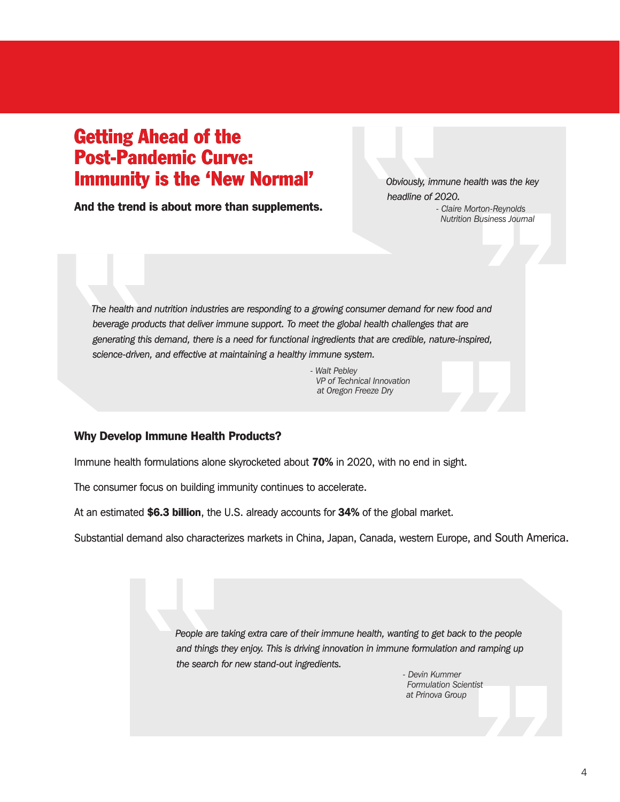# Getting Ahead of the Post-Pandemic Curve: Immunity is the 'New Normal'

And the trend is about more than supplements.

*Obviously, immune health was the key headline of 2020. - Claire Morton-Reynolds Nutrition Business Journal*

*The health and nutrition industries are responding to a growing consumer demand for new food and beverage products that deliver immune support. To meet the global health challenges that are generating this demand, there is a need for functional ingredients that are credible, nature-inspired, science-driven, and effective at maintaining a healthy immune system.*

> *- Walt Pebley VP of Technical Innovation at Oregon Freeze Dry*

#### Why Develop Immune Health Products?

Immune health formulations alone skyrocketed about 70% in 2020, with no end in sight.

The consumer focus on building immunity continues to accelerate.

At an estimated \$6.3 billion, the U.S. already accounts for 34% of the global market.

Substantial demand also characterizes markets in China, Japan, Canada, western Europe, and South America.

*People are taking extra care of their immune health, wanting to get back to the people and things they enjoy. This is driving innovation in immune formulation and ramping up the search for new stand-out ingredients.*

> *- Devin Kummer Formulation Scientist at Prinova Group*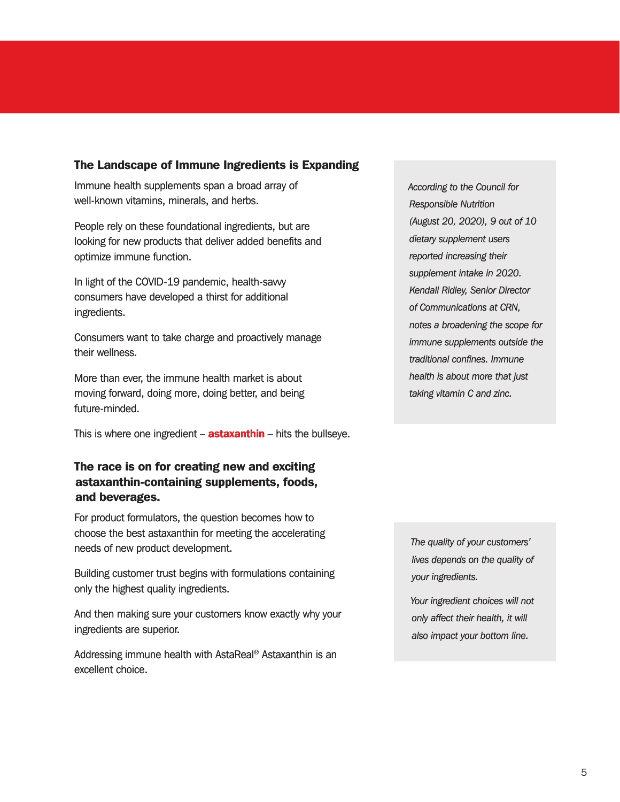#### The Landscape of Immune Ingredients is Expanding

Immune health supplements span a broad array of well-known vitamins, minerals, and herbs.

People rely on these foundational ingredients, but are looking for new products that deliver added benefits and optimize immune function.

In light of the COVID-19 pandemic, health-savvy consumers have developed a thirst for additional ingredients.

Consumers want to take charge and proactively manage their wellness.

More than ever, the immune health market is about moving forward, doing more, doing better, and being future-minded.

This is where one ingredient – **astaxanthin** – hits the bullseye.

#### The race is on for creating new and exciting astaxanthin-containing supplements, foods, and beverages.

For product formulators, the question becomes how to choose the best astaxanthin for meeting the accelerating needs of new product development.

Building customer trust begins with formulations containing only the highest quality ingredients.

And then making sure your customers know exactly why your ingredients are superior.

Addressing immune health with AstaReal® Astaxanthin is an excellent choice.

*According to the Council for Responsible Nutrition (August 20, 2020), 9 out of 10 dietary supplement users reported increasing their supplement intake in 2020. Kendall Ridley, Senior Director of Communications at CRN, notes a broadening the scope for immune supplements outside the traditional confines. Immune health is about more that just taking vitamin C and zinc.*

*The quality of your customers' lives depends on the quality of your ingredients.*

*Your ingredient choices will not only affect their health, it will also impact your bottom line.*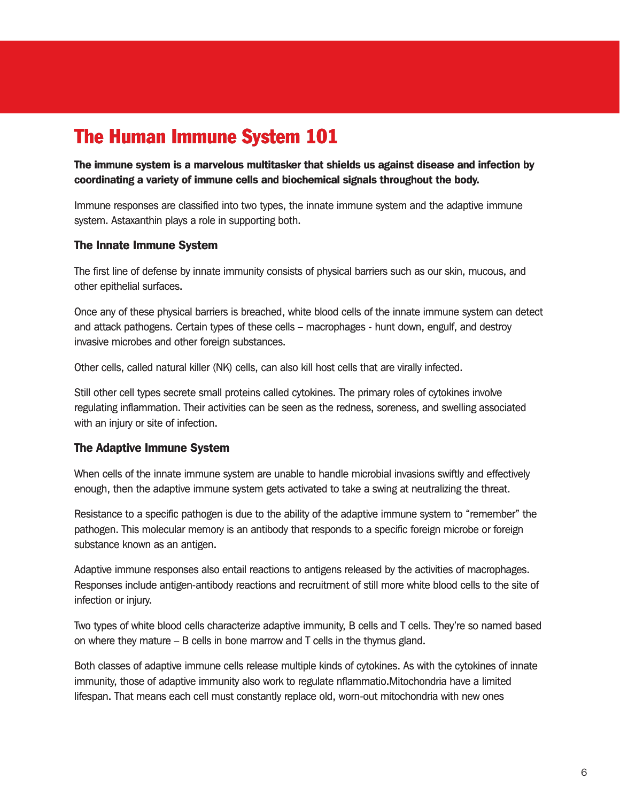# The Human Immune System 101

The immune system is a marvelous multitasker that shields us against disease and infection by coordinating a variety of immune cells and biochemical signals throughout the body.

Immune responses are classified into two types, the innate immune system and the adaptive immune system. Astaxanthin plays a role in supporting both.

#### The Innate Immune System

The first line of defense by innate immunity consists of physical barriers such as our skin, mucous, and other epithelial surfaces.

Once any of these physical barriers is breached, white blood cells of the innate immune system can detect and attack pathogens. Certain types of these cells – macrophages - hunt down, engulf, and destroy invasive microbes and other foreign substances.

Other cells, called natural killer (NK) cells, can also kill host cells that are virally infected.

Still other cell types secrete small proteins called cytokines. The primary roles of cytokines involve regulating inflammation. Their activities can be seen as the redness, soreness, and swelling associated with an injury or site of infection.

#### The Adaptive Immune System

When cells of the innate immune system are unable to handle microbial invasions swiftly and effectively enough, then the adaptive immune system gets activated to take a swing at neutralizing the threat.

Resistance to a specific pathogen is due to the ability of the adaptive immune system to "remember" the pathogen. This molecular memory is an antibody that responds to a specific foreign microbe or foreign substance known as an antigen.

Adaptive immune responses also entail reactions to antigens released by the activities of macrophages. Responses include antigen-antibody reactions and recruitment of still more white blood cells to the site of infection or injury.

Two types of white blood cells characterize adaptive immunity, B cells and T cells. They're so named based on where they mature – B cells in bone marrow and T cells in the thymus gland.

Both classes of adaptive immune cells release multiple kinds of cytokines. As with the cytokines of innate immunity, those of adaptive immunity also work to regulate nflammatio.Mitochondria have a limited lifespan. That means each cell must constantly replace old, worn-out mitochondria with new ones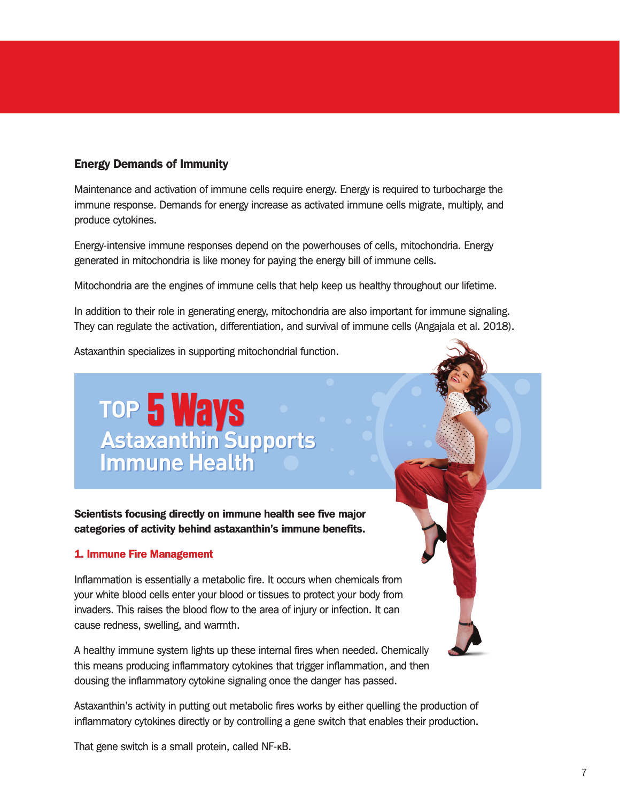#### Energy Demands of Immunity

Maintenance and activation of immune cells require energy. Energy is required to turbocharge the immune response. Demands for energy increase as activated immune cells migrate, multiply, and produce cytokines.

Energy-intensive immune responses depend on the powerhouses of cells, mitochondria. Energy generated in mitochondria is like money for paying the energy bill of immune cells.

Mitochondria are the engines of immune cells that help keep us healthy throughout our lifetime.

In addition to their role in generating energy, mitochondria are also important for immune signaling. They can regulate the activation, differentiation, and survival of immune cells (Angajala et al. 2018).

Astaxanthin specializes in supporting mitochondrial function.

# **TOP Astaxanthin Supports Immune Health 5 Ways**

Scientists focusing directly on immune health see five major categories of activity behind astaxanthin's immune benefits.

#### 1. Immune Fire Management

Inflammation is essentially a metabolic fire. It occurs when chemicals from your white blood cells enter your blood or tissues to protect your body from invaders. This raises the blood flow to the area of injury or infection. It can cause redness, swelling, and warmth.

A healthy immune system lights up these internal fires when needed. Chemically this means producing inflammatory cytokines that trigger inflammation, and then dousing the inflammatory cytokine signaling once the danger has passed.

Astaxanthin's activity in putting out metabolic fires works by either quelling the production of inflammatory cytokines directly or by controlling a gene switch that enables their production.

That gene switch is a small protein, called NF-ĸB.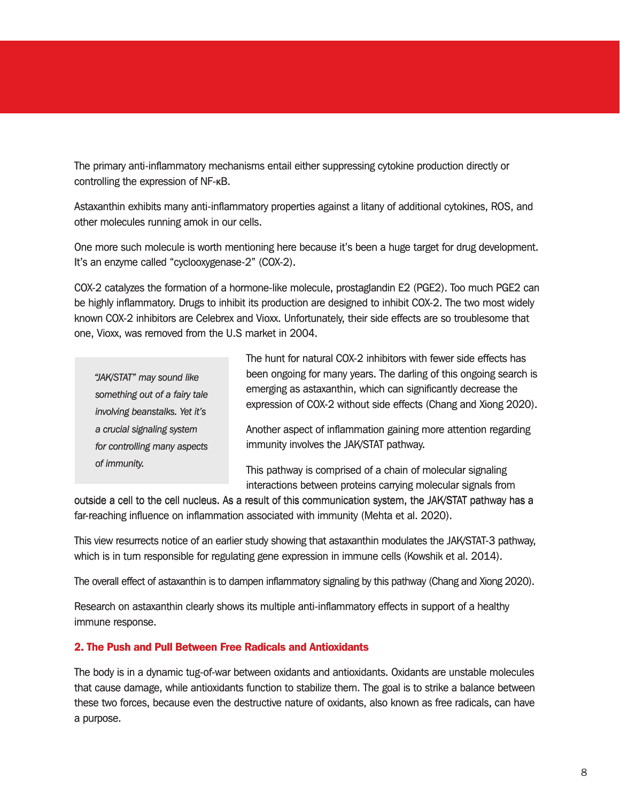The primary anti-inflammatory mechanisms entail either suppressing cytokine production directly or controlling the expression of NF-ĸB.

Astaxanthin exhibits many anti-inflammatory properties against a litany of additional cytokines, ROS, and other molecules running amok in our cells.

One more such molecule is worth mentioning here because it's been a huge target for drug development. It's an enzyme called "cyclooxygenase-2" (COX-2).

COX-2 catalyzes the formation of a hormone-like molecule, prostaglandin E2 (PGE2). Too much PGE2 can be highly inflammatory. Drugs to inhibit its production are designed to inhibit COX-2. The two most widely known COX-2 inhibitors are Celebrex and Vioxx. Unfortunately, their side effects are so troublesome that one, Vioxx, was removed from the U.S market in 2004.

*something out of a fairy tale involving beanstalks. Yet it's a crucial signaling system for controlling many aspects of immunity.*

The hunt for natural COX-2 inhibitors with fewer side effects has been ongoing for many years. The darling of this ongoing search is emerging as astaxanthin, which can significantly decrease the expression of COX-2 without side effects (Chang and Xiong 2020). The hunt for natural COX-2 inhibitors with fewer side effects has<br>
"JAK/STAT" may sound like<br>
something out of a fairy tale<br>
involving beanstalks. Yet it's<br>
involving beanstalks. Yet it's<br>
a crucial signaling system<br>
Anoth

Another aspect of inflammation gaining more attention regarding immunity involves the JAK/STAT pathway.

This pathway is comprised of a chain of molecular signaling interactions between proteins carrying molecular signals from

outside a cell to the cell nucleus. As a result of this communication system, the JAK/STAT pathway has a far-reaching influence on inflammation associated with immunity (Mehta et al. 2020).

This view resurrects notice of an earlier study showing that astaxanthin modulates the JAK/STAT-3 pathway, which is in turn responsible for regulating gene expression in immune cells (Kowshik et al. 2014).

The overall effect of astaxanthin is to dampen inflammatory signaling by this pathway (Chang and Xiong 2020).

Research on astaxanthin clearly shows its multiple anti-inflammatory effects in support of a healthy immune response.

#### 2. The Push and Pull Between Free Radicals and Antioxidants

The body is in a dynamic tug-of-war between oxidants and antioxidants. Oxidants are unstable molecules that cause damage, while antioxidants function to stabilize them. The goal is to strike a balance between these two forces, because even the destructive nature of oxidants, also known as free radicals, can have a purpose.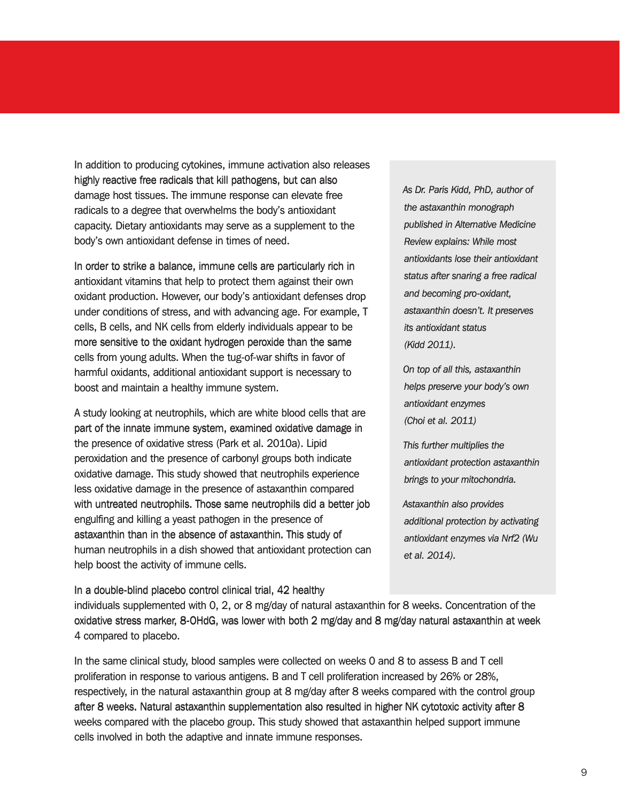In addition to producing cytokines, immune activation also releases highly reactive free radicals that kill pathogens, but can also damage host tissues. The immune response can elevate free radicals to a degree that overwhelms the body's antioxidant capacity. Dietary antioxidants may serve as a supplement to the body's own antioxidant defense in times of need.

In order to strike a balance, immune cells are particularly rich in antioxidant vitamins that help to protect them against their own oxidant production. However, our body's antioxidant defenses drop under conditions of stress, and with advancing age. For example, T cells, B cells, and NK cells from elderly individuals appear to be more sensitive to the oxidant hydrogen peroxide than the same cells from young adults. When the tug-of-war shifts in favor of harmful oxidants, additional antioxidant support is necessary to boost and maintain a healthy immune system.

A study looking at neutrophils, which are white blood cells that are part of the innate immune system, examined oxidative damage in the presence of oxidative stress (Park et al. 2010a). Lipid peroxidation and the presence of carbonyl groups both indicate oxidative damage. This study showed that neutrophils experience less oxidative damage in the presence of astaxanthin compared with untreated neutrophils. Those same neutrophils did a better job engulfing and killing a yeast pathogen in the presence of astaxanthin than in the absence of astaxanthin. This study of human neutrophils in a dish showed that antioxidant protection can help boost the activity of immune cells.

In a double-blind placebo control clinical trial, 42 healthy

*As Dr. Paris Kidd, PhD, author of the astaxanthin monograph published in Alternative Medicine Review explains: While most antioxidants lose their antioxidant status after snaring a free radical and becoming pro-oxidant, astaxanthin doesn't. It preserves its antioxidant status (Kidd 2011).*

*On top of all this, astaxanthin helps preserve your body's own antioxidant enzymes (Choi et al. 2011)*

*This further multiplies the antioxidant protection astaxanthin brings to your mitochondria.* 

*Astaxanthin also provides additional protection by activating antioxidant enzymes via Nrf2 (Wu et al. 2014).*

individuals supplemented with 0, 2, or 8 mg/day of natural astaxanthin for 8 weeks. Concentration of the oxidative stress marker, 8-OHdG, was lower with both 2 mg/day and 8 mg/day natural astaxanthin at week 4 compared to placebo.

In the same clinical study, blood samples were collected on weeks 0 and 8 to assess B and T cell proliferation in response to various antigens. B and T cell proliferation increased by 26% or 28%, respectively, in the natural astaxanthin group at 8 mg/day after 8 weeks compared with the control group after 8 weeks. Natural astaxanthin supplementation also resulted in higher NK cytotoxic activity after 8 weeks compared with the placebo group. This study showed that astaxanthin helped support immune cells involved in both the adaptive and innate immune responses.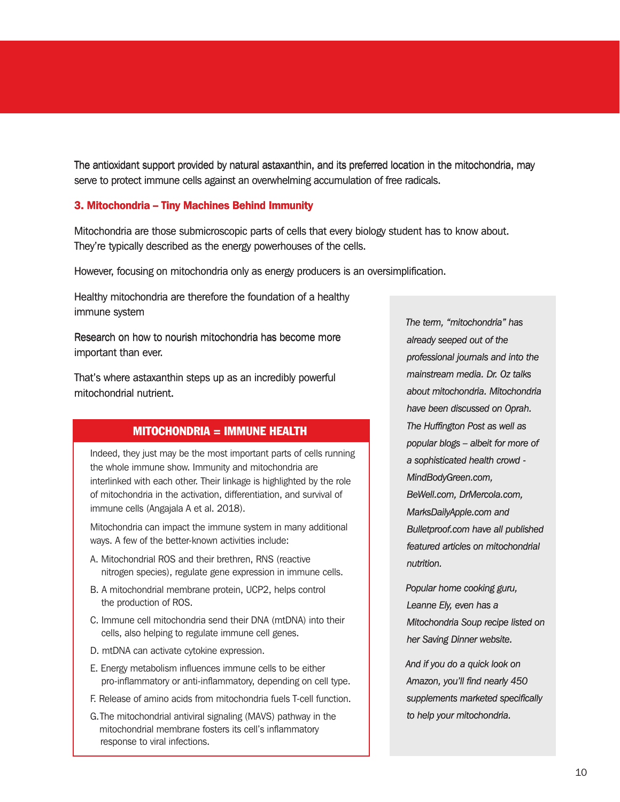The antioxidant support provided by natural astaxanthin, and its preferred location in the mitochondria, may serve to protect immune cells against an overwhelming accumulation of free radicals.

#### 3. Mitochondria – Tiny Machines Behind Immunity

Mitochondria are those submicroscopic parts of cells that every biology student has to know about. They're typically described as the energy powerhouses of the cells.

However, focusing on mitochondria only as energy producers is an oversimplification.

Healthy mitochondria are therefore the foundation of a healthy immune system

Research on how to nourish mitochondria has become more important than ever.

That's where astaxanthin steps up as an incredibly powerful mitochondrial nutrient.

#### MITOCHONDRIA = IMMUNE HEALTH

Indeed, they just may be the most important parts of cells running the whole immune show. Immunity and mitochondria are interlinked with each other. Their linkage is highlighted by the role of mitochondria in the activation, differentiation, and survival of immune cells (Angajala A et al. 2018).

Mitochondria can impact the immune system in many additional ways. A few of the better-known activities include:

- A. Mitochondrial ROS and their brethren, RNS (reactive nitrogen species), regulate gene expression in immune cells.
- B. A mitochondrial membrane protein, UCP2, helps control the production of ROS.
- C. Immune cell mitochondria send their DNA (mtDNA) into their cells, also helping to regulate immune cell genes.
- D. mtDNA can activate cytokine expression.
- E. Energy metabolism influences immune cells to be either pro-inflammatory or anti-inflammatory, depending on cell type.
- F. Release of amino acids from mitochondria fuels T-cell function.
- G.The mitochondrial antiviral signaling (MAVS) pathway in the mitochondrial membrane fosters its cell's inflammatory response to viral infections.

The term, "mitochondria" has<br>
Research on how to nourish mitochondria has become more<br>
important than ever.<br>
That's where astaxanthin steps up as an incredibly powerful<br>
mitochondrial nutrient.<br>
about mitochondria. Mitocho *already seeped out of the professional journals and into the mainstream media. Dr. Oz talks about mitochondria. Mitochondria have been discussed on Oprah. The Huffington Post as well as popular blogs – albeit for more of a sophisticated health crowd - MindBodyGreen.com, BeWell.com, DrMercola.com, MarksDailyApple.com and Bulletproof.com have all published featured articles on mitochondrial nutrition.*

> *Popular home cooking guru, Leanne Ely, even has a Mitochondria Soup recipe listed on her Saving Dinner website.*

*And if you do a quick look on Amazon, you'll find nearly 450 supplements marketed specifically to help your mitochondria.*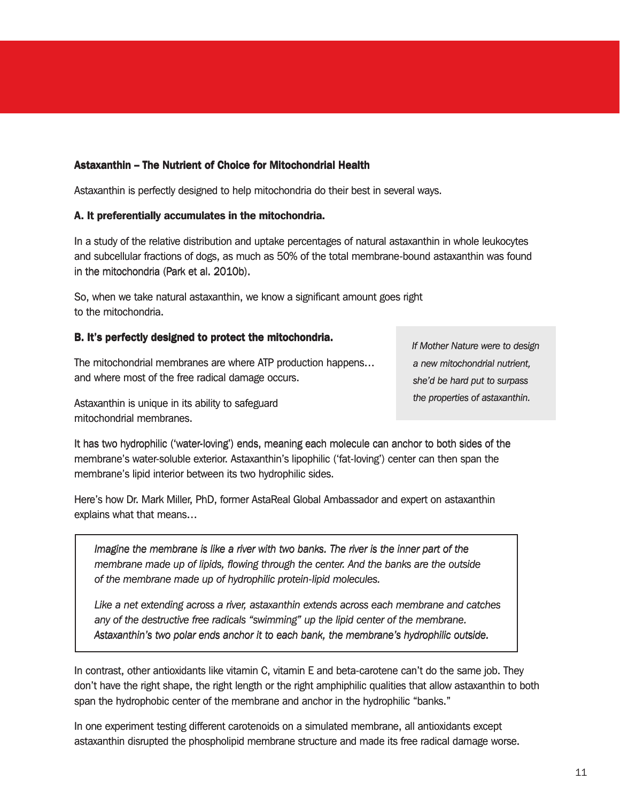#### Astaxanthin – The Nutrient of Choice for Mitochondrial Health Astaxanthin – The Nutrient of Choice for Mitochondrial Health

Astaxanthin is perfectly designed to help mitochondria do their best in several ways. Astaxanthin is perfectly designed to help mitochondria do their best in several ways.

#### A. It preferentially accumulates in the mitochondria. A. It preferentially accumulates in the mitochondria.

In a study of the relative distribution and uptake percentages of natural astaxanthin in whole leukocytes and subcellular fractions of dogs, as much as 50% of the total membrane-bound astaxanthin was found in the mitochondria (Park et al. 2010b). In a study of the relative distribution and uptake percentages of natural astaxanthin in whole leukocytes<br>and subcellular fractions of dogs, as much as 50% of the total membrane-bound astaxanthin was found<br>in the mitochond

So, when we take natural astaxanthin, we know a significant amount goes right to the mitochondria.

#### B. It's perfectly designed to protect the mitochondria. B. It's perfectly designed to protect the mitochondria.

The mitochondrial membranes are where ATP production happens… and where most of the free radical damage occurs.

*a new mitochondrial nutrient, she'd be hard put to surpass the properties of astaxanthin.*

Astaxanthin is unique in its ability to safeguard mitochondrial membranes.

It has two hydrophilic ('water-loving') ends, meaning each molecule can anchor to both sides of the membrane's water-soluble exterior. Astaxanthin's lipophilic ('fat-loving') center can then span the membrane's lipid interior between its two hydrophilic sides. If Mother Nature were to design<br>
In mitochondrial membranes are where ATP production happens...<br>
and where most of the free radical damage occurs.<br>
Astaxanthin is unique in its ability to safeguard<br>
Astaxanthin is unique i

Here's how Dr. Mark Miller, PhD, former AstaReal Global Ambassador and expert on astaxanthin explains what that means…

*Imagine the membrane is like a river with two banks. The river is the inner part of the membrane made up of lipids, flowing through the center. And the banks are the outside of the membrane made up of hydrophilic protein-lipid molecules.*

*Like a net extending across a river, astaxanthin extends across each membrane and catches any of the destructive free radicals "swimming" up the lipid center of the membrane. Astaxanthin's two polar ends anchor it to each bank, the membrane's hydrophilic outside.*

In contrast, other antioxidants like vitamin C, vitamin E and beta-carotene can't do the same job. They don't have the right shape, the right length or the right amphiphilic qualities that allow astaxanthin to both span the hydrophobic center of the membrane and anchor in the hydrophilic "banks."

In one experiment testing different carotenoids on a simulated membrane, all antioxidants except astaxanthin disrupted the phospholipid membrane structure and made its free radical damage worse.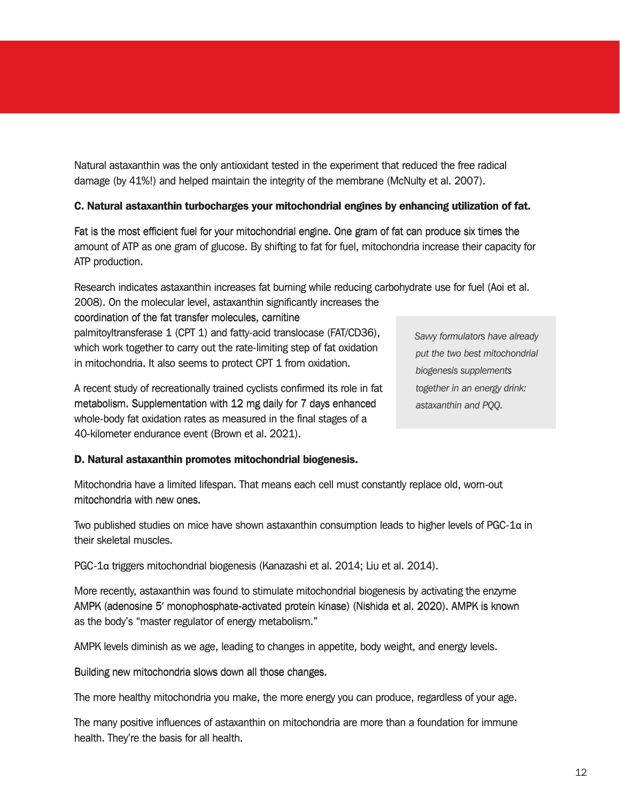Natural astaxanthin was the only antioxidant tested in the experiment that reduced the free radical damage (by 41%!) and helped maintain the integrity of the membrane (McNulty et al. 2007).

#### C. Natural astaxanthin turbocharges your mitochondrial engines by enhancing utilization of fat.

Fat is the most efficient fuel for your mitochondrial engine. One gram of fat can produce six times the amount of ATP as one gram of glucose. By shifting to fat for fuel, mitochondria increase their capacity for ATP production.

Research indicates astaxanthin increases fat burning while reducing carbohydrate use for fuel (Aoi et al.

2008). On the molecular level, astaxanthin significantly increases the coordination of the fat transfer molecules, carnitine palmitoyltransferase 1 (CPT 1) and fatty-acid translocase (FAT/CD36), which work together to carry out the rate-limiting step of fat oxidation in mitochondria. It also seems to protect CPT 1 from oxidation.

*Savvy formulators have already put the two best mitochondrial biogenesis supplements together in an energy drink: astaxanthin and PQQ.*

A recent study of recreationally trained cyclists confirmed its role in fat metabolism. Supplementation with 12 mg daily for 7 days enhanced whole-body fat oxidation rates as measured in the final stages of a 40-kilometer endurance event (Brown et al. 2021).

#### D. Natural astaxanthin promotes mitochondrial biogenesis.

Mitochondria have a limited lifespan. That means each cell must constantly replace old, worn-out mitochondria with new ones.

Two published studies on mice have shown astaxanthin consumption leads to higher levels of PGC-1α in their skeletal muscles.

PGC-1α triggers mitochondrial biogenesis (Kanazashi et al. 2014; Liu et al. 2014).

More recently, astaxanthin was found to stimulate mitochondrial biogenesis by activating the enzyme AMPK (adenosine 5' monophosphate-activated protein kinase) (Nishida et al. 2020). AMPK is known as the body's "master regulator of energy metabolism." their skeletal muscles.<br>PGC-1a triggers mitochondrial biogenesis (Kanazashi et al. 2014; Liu et al. 2014).<br>More recently, astaxanthin was found to stimulate mitochondrial biogenesis by activating the enzyme<br>AMPK (adenosine

AMPK levels diminish as we age, leading to changes in appetite, body weight, and energy levels.

Building new mitochondria slows down all those changes.

The more healthy mitochondria you make, the more energy you can produce, regardless of your age.

The many positive influences of astaxanthin on mitochondria are more than a foundation for immune health. They're the basis for all health.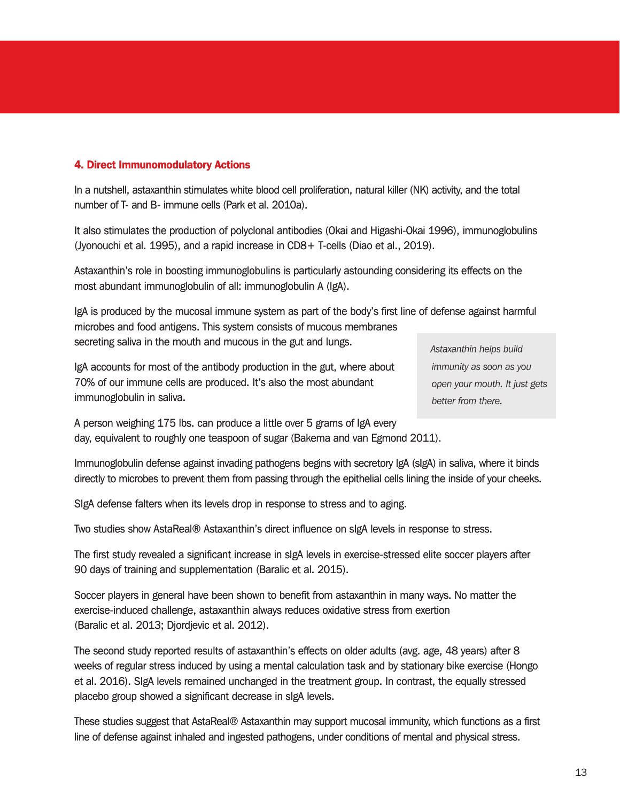#### 4. Direct Immunomodulatory Actions

In a nutshell, astaxanthin stimulates white blood cell proliferation, natural killer (NK) activity, and the total number of T- and B- immune cells (Park et al. 2010a).

It also stimulates the production of polyclonal antibodies (Okai and Higashi-Okai 1996), immunoglobulins (Jyonouchi et al. 1995), and a rapid increase in CD8+ T-cells (Diao et al., 2019).

Astaxanthin's role in boosting immunoglobulins is particularly astounding considering its effects on the most abundant immunoglobulin of all: immunoglobulin A (IgA).

IgA is produced by the mucosal immune system as part of the body's first line of defense against harmful microbes and food antigens. This system consists of mucous membranes secreting saliva in the mouth and mucous in the gut and lungs.

IgA accounts for most of the antibody production in the gut, where about 70% of our immune cells are produced. It's also the most abundant immunoglobulin in saliva.

*Astaxanthin helps build immunity as soon as you open your mouth. It just gets better from there.*

A person weighing 175 lbs. can produce a little over 5 grams of IgA every day, equivalent to roughly one teaspoon of sugar (Bakema and van Egmond 2011).

Immunoglobulin defense against invading pathogens begins with secretory IgA (sIgA) in saliva, where it binds directly to microbes to prevent them from passing through the epithelial cells lining the inside of your cheeks.

SIgA defense falters when its levels drop in response to stress and to aging.

Two studies show AstaReal® Astaxanthin's direct influence on sIgA levels in response to stress.

The first study revealed a significant increase in sIgA levels in exercise-stressed elite soccer players after 90 days of training and supplementation (Baralic et al. 2015).

Soccer players in general have been shown to benefit from astaxanthin in many ways. No matter the exercise-induced challenge, astaxanthin always reduces oxidative stress from exertion (Baralic et al. 2013; Djordjevic et al. 2012).

The second study reported results of astaxanthin's effects on older adults (avg. age, 48 years) after 8 weeks of regular stress induced by using a mental calculation task and by stationary bike exercise (Hongo et al. 2016). SIgA levels remained unchanged in the treatment group. In contrast, the equally stressed placebo group showed a significant decrease in sIgA levels.

These studies suggest that AstaReal® Astaxanthin may support mucosal immunity, which functions as a first line of defense against inhaled and ingested pathogens, under conditions of mental and physical stress.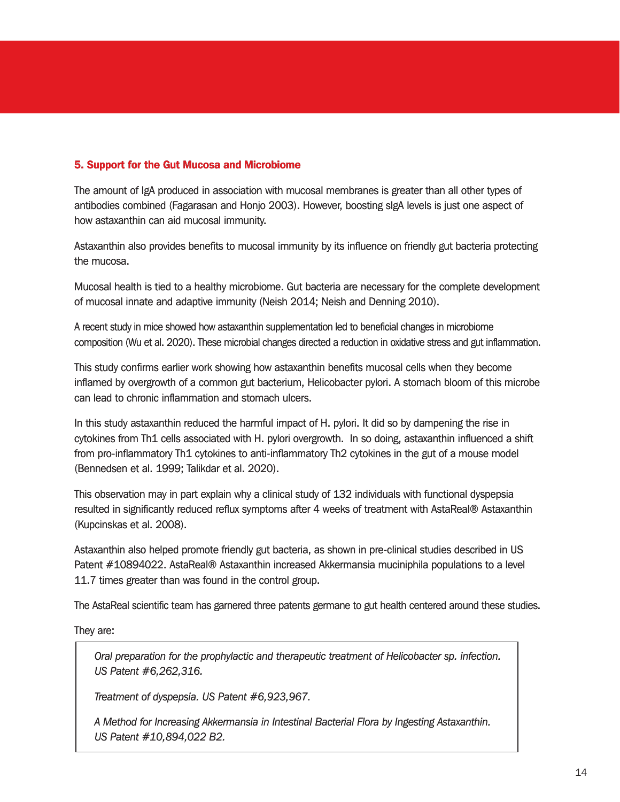#### 5. Support for the Gut Mucosa and Microbiome

The amount of IgA produced in association with mucosal membranes is greater than all other types of antibodies combined (Fagarasan and Honjo 2003). However, boosting sIgA levels is just one aspect of how astaxanthin can aid mucosal immunity.

Astaxanthin also provides benefits to mucosal immunity by its influence on friendly gut bacteria protecting the mucosa.

Mucosal health is tied to a healthy microbiome. Gut bacteria are necessary for the complete development of mucosal innate and adaptive immunity (Neish 2014; Neish and Denning 2010).

A recent study in mice showed how astaxanthin supplementation led to beneficial changes in microbiome composition (Wu et al. 2020). These microbial changes directed a reduction in oxidative stress and gut inflammation.

This study confirms earlier work showing how astaxanthin benefits mucosal cells when they become inflamed by overgrowth of a common gut bacterium, Helicobacter pylori. A stomach bloom of this microbe can lead to chronic inflammation and stomach ulcers.

In this study astaxanthin reduced the harmful impact of H. pylori. It did so by dampening the rise in cytokines from Th1 cells associated with H. pylori overgrowth. In so doing, astaxanthin influenced a shift from pro-inflammatory Th1 cytokines to anti-inflammatory Th2 cytokines in the gut of a mouse model (Bennedsen et al. 1999; Talikdar et al. 2020).

This observation may in part explain why a clinical study of 132 individuals with functional dyspepsia resulted in significantly reduced reflux symptoms after 4 weeks of treatment with AstaReal® Astaxanthin (Kupcinskas et al. 2008).

Astaxanthin also helped promote friendly gut bacteria, as shown in pre-clinical studies described in US Patent #10894022. AstaReal® Astaxanthin increased Akkermansia muciniphila populations to a level 11.7 times greater than was found in the control group.

The AstaReal scientific team has garnered three patents germane to gut health centered around these studies.

They are:

*Oral preparation for the prophylactic and therapeutic treatment of Helicobacter sp. infection. US Patent #6,262,316.* 

*Treatment of dyspepsia. US Patent #6,923,967.*

*A Method for Increasing Akkermansia in Intestinal Bacterial Flora by Ingesting Astaxanthin. US Patent #10,894,022 B2.*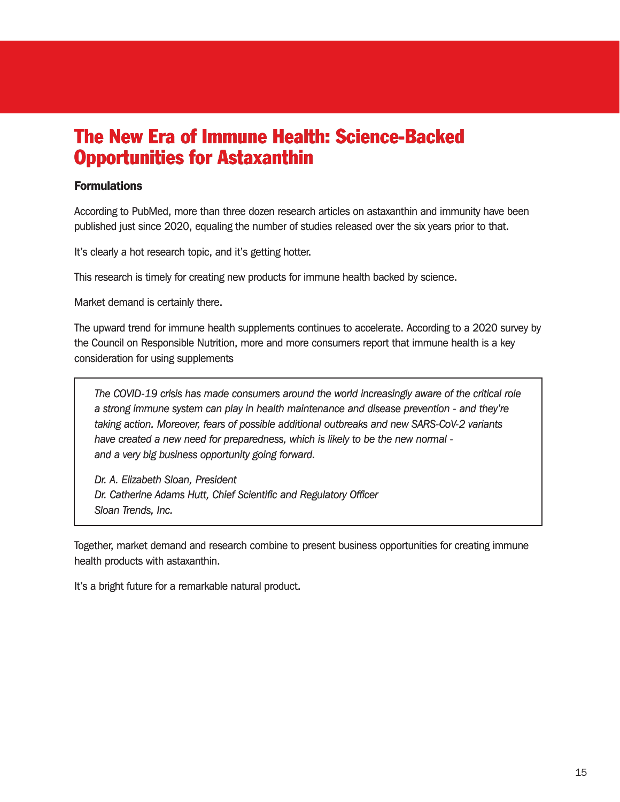# The New Era of Immune Health: Science-Backed Opportunities for Astaxanthin

#### Formulations

According to PubMed, more than three dozen research articles on astaxanthin and immunity have been published just since 2020, equaling the number of studies released over the six years prior to that.

It's clearly a hot research topic, and it's getting hotter.

This research is timely for creating new products for immune health backed by science.

Market demand is certainly there.

The upward trend for immune health supplements continues to accelerate. According to a 2020 survey by the Council on Responsible Nutrition, more and more consumers report that immune health is a key consideration for using supplements

*The COVID-19 crisis has made consumers around the world increasingly aware of the critical role a strong immune system can play in health maintenance and disease prevention - and they're taking action. Moreover, fears of possible additional outbreaks and new SARS-CoV-2 variants have created a new need for preparedness, which is likely to be the new normal and a very big business opportunity going forward.*

*Dr. A. Elizabeth Sloan, President Dr. Catherine Adams Hutt, Chief Scientific and Regulatory Officer Sloan Trends, Inc.*

Together, market demand and research combine to present business opportunities for creating immune health products with astaxanthin.

It's a bright future for a remarkable natural product.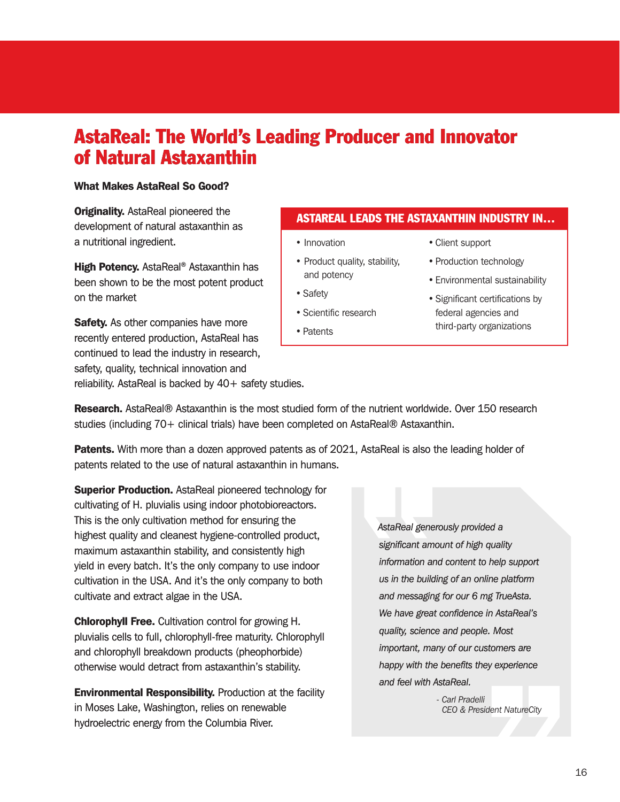# AstaReal: The World's Leading Producer and Innovator of Natural Astaxanthin

#### What Makes AstaReal So Good?

**Originality.** AstaReal pioneered the development of natural astaxanthin as a nutritional ingredient.

High Potency. AstaReal<sup>®</sup> Astaxanthin has been shown to be the most potent product on the market

**Safety.** As other companies have more recently entered production, AstaReal has continued to lead the industry in research, safety, quality, technical innovation and reliability. AstaReal is backed by 40+ safety studies.

#### ASTAREAL LEADS THE ASTAXANTHIN INDUSTRY IN…

- Innovation
- Product quality, stability, and potency
- Safety
- Scientific research
- Patents
- Client support
- Production technology
- Environmental sustainability
- Significant certifications by federal agencies and third-party organizations

**Research.** AstaReal® Astaxanthin is the most studied form of the nutrient worldwide. Over 150 research studies (including 70+ clinical trials) have been completed on AstaReal® Astaxanthin.

**Patents.** With more than a dozen approved patents as of 2021, AstaReal is also the leading holder of patents related to the use of natural astaxanthin in humans.

**Superior Production.** AstaReal pioneered technology for cultivating of H. pluvialis using indoor photobioreactors. This is the only cultivation method for ensuring the highest quality and cleanest hygiene-controlled product, maximum astaxanthin stability, and consistently high yield in every batch. It's the only company to use indoor cultivation in the USA. And it's the only company to both cultivate and extract algae in the USA.

Chlorophyll Free. Cultivation control for growing H. pluvialis cells to full, chlorophyll-free maturity. Chlorophyll and chlorophyll breakdown products (pheophorbide) otherwise would detract from astaxanthin's stability.

**Environmental Responsibility.** Production at the facility in Moses Lake, Washington, relies on renewable hydroelectric energy from the Columbia River.

*AstaReal generously provided a significant amount of high quality information and content to help support us in the building of an online platform and messaging for our 6 mg TrueAsta. We have great confidence in AstaReal's quality, science and people. Most important, many of our customers are happy with the benefits they experience and feel with AstaReal.*

> *- Carl Pradelli CEO & President NatureCity*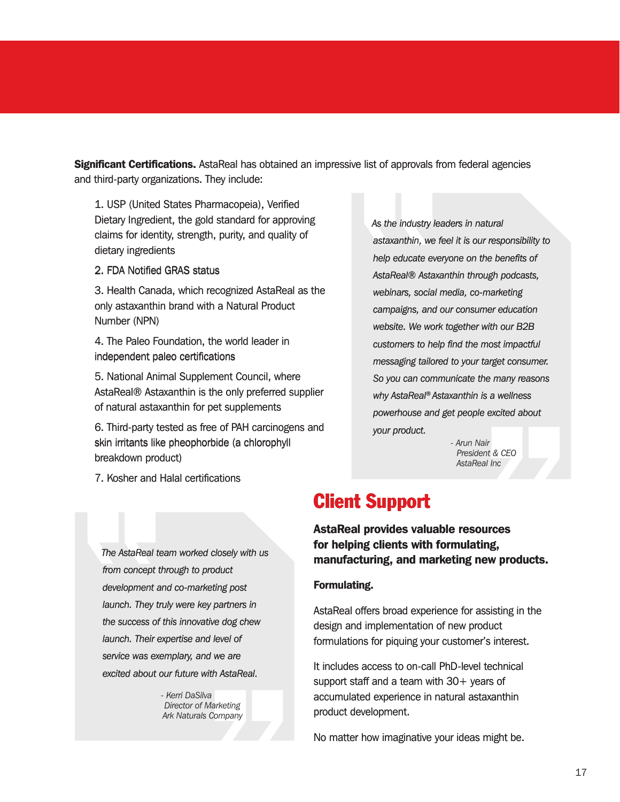**Significant Certifications.** AstaReal has obtained an impressive list of approvals from federal agencies and third-party organizations. They include:

1. USP (United States Pharmacopeia), Verified Dietary Ingredient, the gold standard for approving claims for identity, strength, purity, and quality of dietary ingredients

2. FDA Notified GRAS status

3. Health Canada, which recognized AstaReal as the only astaxanthin brand with a Natural Product Number (NPN)

4. The Paleo Foundation, the world leader in independent paleo certifications

5. National Animal Supplement Council, where AstaReal® Astaxanthin is the only preferred supplier of natural astaxanthin for pet supplements

6. Third-party tested as free of PAH carcinogens and skin irritants like pheophorbide (a chlorophyll breakdown product)

*As the industry leaders in natural astaxanthin, we feel it is our responsibility to help educate everyone on the benefits of AstaReal® Astaxanthin through podcasts, webinars, social media, co-marketing campaigns, and our consumer education website. We work together with our B2B customers to help find the most impactful messaging tailored to your target consumer. So you can communicate the many reasons why AstaReal® Astaxanthin is a wellness powerhouse and get people excited about your product. tailored to your ta.*<br> *communicate the<br>
<i>al® Astaxanthin is*<br> *e and get people (*<br> *t.*<br> *- Arun Nair* 

 *President & CEO AstaReal Inc*

7. Kosher and Halal certifications

*from concept through to product* 

### Client Support

AstaReal provides valuable resources for helping clients with formulating, manufacturing, and marketing new products.

#### Formulating.

AstaReal offers broad experience for assisting in the design and implementation of new product formulations for piquing your customer's interest.

It includes access to on-call PhD-level technical support staff and a team with  $30+$  years of accumulated experience in natural astaxanthin product development.

No matter how imaginative your ideas might be.

breakdown product)<br>
T. Kosher and Halal certifications<br>
T. Kosher and Halal certifications<br>
The AstaReal team worked closely with us<br>
for **helping clients with formulating,**<br>
from concept through to product<br>
development an *development and co-marketing post launch. They truly were key partners in the success of this innovative dog chew launch. Their expertise and level of service was exemplary, and we are excited about our future with AstaReal.*

*The AstaReal team worked closely with us* 

*- Kerri DaSilva Director of Marketing Ark Naturals Company*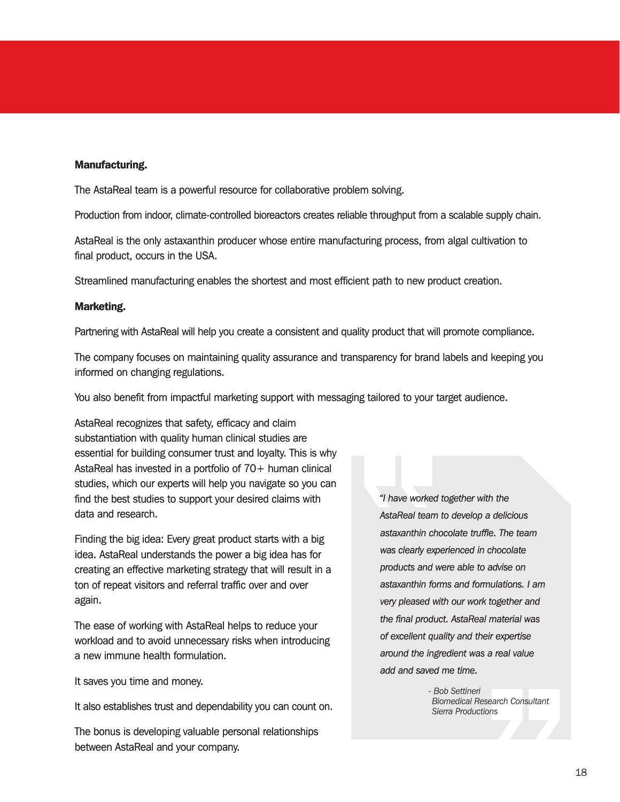#### Manufacturing. Manufacturing.

The AstaReal team is a powerful resource for collaborative problem solving. The AstaReal team is a powerful resource for collaborative problem solving.

Production from indoor, climate-controlled bioreactors creates reliable throughput from a scalable supply chain.

AstaReal is the only astaxanthin producer whose entire manufacturing process, from algal cultivation to final product, occurs in the USA.

Streamlined manufacturing enables the shortest and most efficient path to new product creation.

#### Marketing.

Partnering with AstaReal will help you create a consistent and quality product that will promote compliance.

The company focuses on maintaining quality assurance and transparency for brand labels and keeping you informed on changing regulations.

You also benefit from impactful marketing support with messaging tailored to your target audience.

AstaReal recognizes that safety, efficacy and claim substantiation with quality human clinical studies are essential for building consumer trust and loyalty. This is why AstaReal has invested in a portfolio of 70+ human clinical studies, which our experts will help you navigate so you can find the best studies to support your desired claims with data and research.

Finding the big idea: Every great product starts with a big idea. AstaReal understands the power a big idea has for creating an effective marketing strategy that will result in a ton of repeat visitors and referral traffic over and over again.

The ease of working with AstaReal helps to reduce your workload and to avoid unnecessary risks when introducing a new immune health formulation.

It saves you time and money.

It also establishes trust and dependability you can count on.

The bonus is developing valuable personal relationships between AstaReal and your company.

*"I have worked together with the AstaReal team to develop a delicious astaxanthin chocolate truffle. The team was clearly experienced in chocolate products and were able to advise on astaxanthin forms and formulations. I am very pleased with our work together and the final product. AstaReal material was of excellent quality and their expertise around the ingredient was a real value add and saved me time.*

> *- Bob Settineri Biomedical Research Consultant Sierra Productions*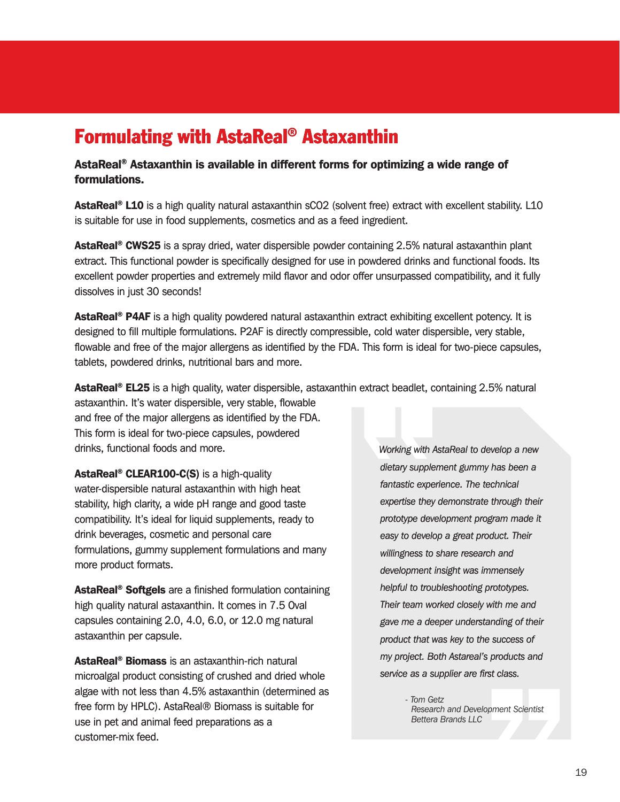# Formulating with AstaReal® Astaxanthin

AstaReal® Astaxanthin is available in different forms for optimizing a wide range of formulations.

AstaReal<sup>®</sup> L10 is a high quality natural astaxanthin sCO2 (solvent free) extract with excellent stability. L10 is suitable for use in food supplements, cosmetics and as a feed ingredient.

**AstaReal<sup>®</sup> CWS25** is a spray dried, water dispersible powder containing 2.5% natural astaxanthin plant extract. This functional powder is specifically designed for use in powdered drinks and functional foods. Its excellent powder properties and extremely mild flavor and odor offer unsurpassed compatibility, and it fully dissolves in just 30 seconds!

AstaReal<sup>®</sup> P4AF is a high quality powdered natural astaxanthin extract exhibiting excellent potency. It is designed to fill multiple formulations. P2AF is directly compressible, cold water dispersible, very stable, flowable and free of the major allergens as identified by the FDA. This form is ideal for two-piece capsules, tablets, powdered drinks, nutritional bars and more.

AstaReal<sup>®</sup> EL25 is a high quality, water dispersible, astaxanthin extract beadlet, containing 2.5% natural

astaxanthin. It's water dispersible, very stable, flowable and free of the major allergens as identified by the FDA. This form is ideal for two-piece capsules, powdered drinks, functional foods and more.

AstaReal<sup>®</sup> CLEAR100-C(S) is a high-quality water-dispersible natural astaxanthin with high heat stability, high clarity, a wide pH range and good taste compatibility. It's ideal for liquid supplements, ready to drink beverages, cosmetic and personal care formulations, gummy supplement formulations and many more product formats.

AstaReal<sup>®</sup> Softgels are a finished formulation containing high quality natural astaxanthin. It comes in 7.5 Oval capsules containing 2.0, 4.0, 6.0, or 12.0 mg natural astaxanthin per capsule.

AstaReal® Biomass is an astaxanthin-rich natural microalgal product consisting of crushed and dried whole algae with not less than 4.5% astaxanthin (determined as free form by HPLC). AstaReal® Biomass is suitable for use in pet and animal feed preparations as a customer-mix feed.

*Working with AstaReal to develop a new dietary supplement gummy has been a fantastic experience. The technical expertise they demonstrate through their prototype development program made it easy to develop a great product. Their willingness to share research and development insight was immensely helpful to troubleshooting prototypes. Their team worked closely with me and gave me a deeper understanding of their product that was key to the success of my project. Both Astareal's products and service as a supplier are first class.*

> *- Tom Getz Research and Development Scientist Bettera Brands LLC*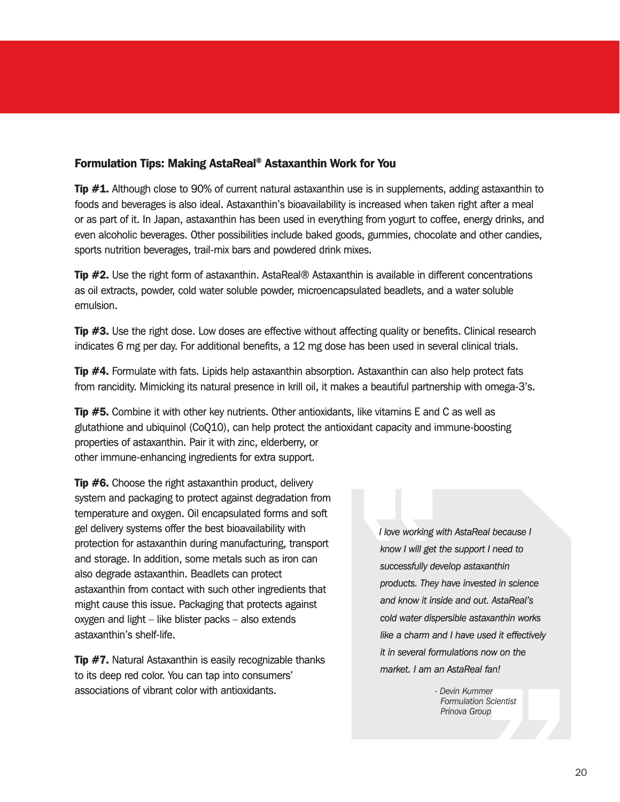#### Formulation Tips: Making AstaReal® Astaxanthin Work for You

**Tip**  $#1$ **.** Although close to 90% of current natural astaxanthin use is in supplements, adding astaxanthin to foods and beverages is also ideal. Astaxanthin's bioavailability is increased when taken right after a meal or as part of it. In Japan, astaxanthin has been used in everything from yogurt to coffee, energy drinks, and even alcoholic beverages. Other possibilities include baked goods, gummies, chocolate and other candies, sports nutrition beverages, trail-mix bars and powdered drink mixes.

**Tip #2.** Use the right form of astaxanthin. AstaReal® Astaxanthin is available in different concentrations as oil extracts, powder, cold water soluble powder, microencapsulated beadlets, and a water soluble emulsion.

**Tip #3.** Use the right dose. Low doses are effective without affecting quality or benefits. Clinical research indicates 6 mg per day. For additional benefits, a 12 mg dose has been used in several clinical trials.

**Tip #4.** Formulate with fats. Lipids help astaxanthin absorption. Astaxanthin can also help protect fats from rancidity. Mimicking its natural presence in krill oil, it makes a beautiful partnership with omega-3's.

**Tip #5.** Combine it with other key nutrients. Other antioxidants, like vitamins E and C as well as glutathione and ubiquinol (CoQ10), can help protect the antioxidant capacity and immune-boosting properties of astaxanthin. Pair it with zinc, elderberry, or other immune-enhancing ingredients for extra support.

**Tip #6.** Choose the right astaxanthin product, delivery system and packaging to protect against degradation from temperature and oxygen. Oil encapsulated forms and soft gel delivery systems offer the best bioavailability with protection for astaxanthin during manufacturing, transport and storage. In addition, some metals such as iron can also degrade astaxanthin. Beadlets can protect astaxanthin from contact with such other ingredients that might cause this issue. Packaging that protects against oxygen and light – like blister packs – also extends astaxanthin's shelf-life.

**Tip #7.** Natural Astaxanthin is easily recognizable thanks to its deep red color. You can tap into consumers' associations of vibrant color with antioxidants.

*I love working with AstaReal because I know I will get the support I need to successfully develop astaxanthin products. They have invested in science and know it inside and out. AstaReal's cold water dispersible astaxanthin works like a charm and I have used it effectively it in several formulations now on the market. I am an AstaReal fan!*

> *- Devin Kummer Formulation Scientist Prinova Group*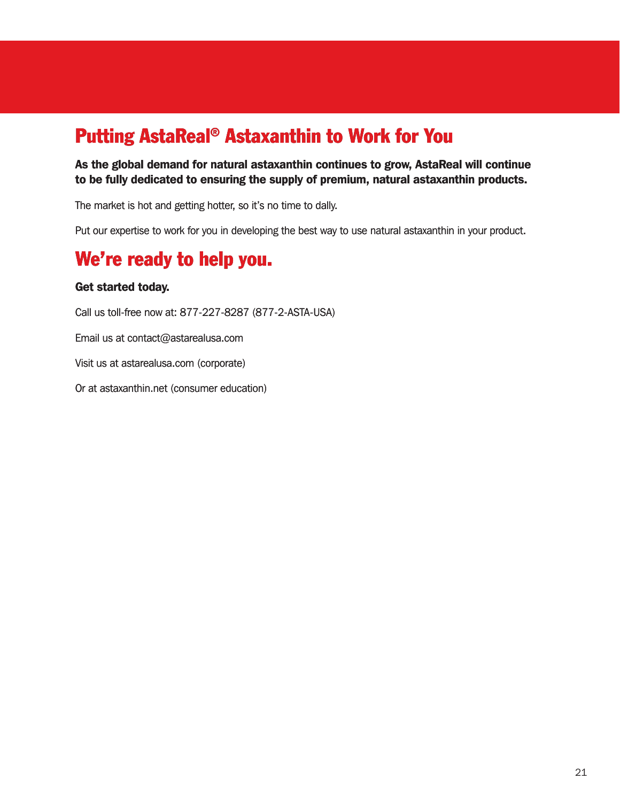# Putting AstaReal® Astaxanthin to Work for You

As the global demand for natural astaxanthin continues to grow, AstaReal will continue to be fully dedicated to ensuring the supply of premium, natural astaxanthin products.

The market is hot and getting hotter, so it's no time to dally.

Put our expertise to work for you in developing the best way to use natural astaxanthin in your product.

### We're ready to help you.

#### Get started today.

Call us toll-free now at: 877-227-8287 (877-2-ASTA-USA) Email us at contact@astarealusa.com Visit us at astarealusa.com (corporate)

Or at astaxanthin.net (consumer education)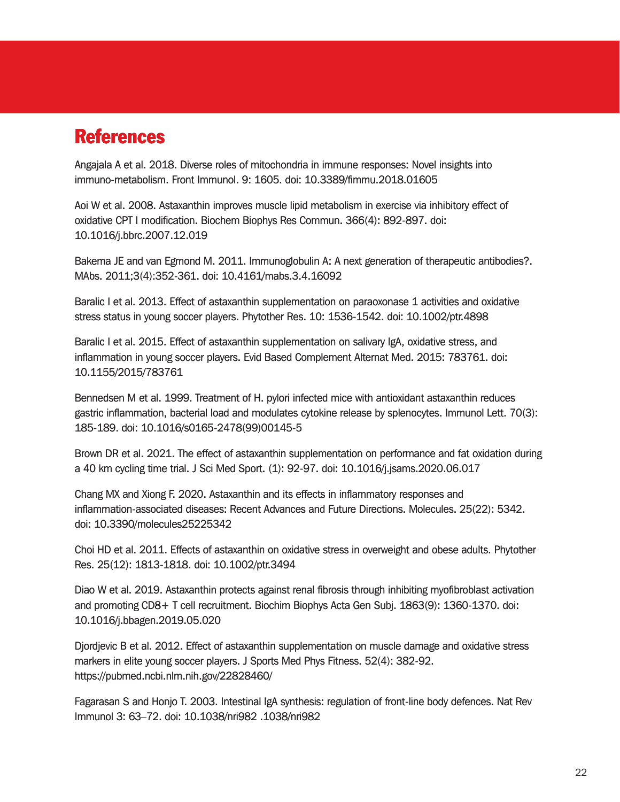### References

Angajala A et al. 2018. Diverse roles of mitochondria in immune responses: Novel insights into immuno-metabolism. Front Immunol. 9: 1605. doi: 10.3389/fimmu.2018.01605

Aoi W et al. 2008. Astaxanthin improves muscle lipid metabolism in exercise via inhibitory effect of oxidative CPT I modification. Biochem Biophys Res Commun. 366(4): 892-897. doi: 10.1016/j.bbrc.2007.12.019

Bakema JE and van Egmond M. 2011. Immunoglobulin A: A next generation of therapeutic antibodies?. MAbs. 2011;3(4):352-361. doi: 10.4161/mabs.3.4.16092

Baralic I et al. 2013. Effect of astaxanthin supplementation on paraoxonase 1 activities and oxidative stress status in young soccer players. Phytother Res. 10: 1536-1542. doi: 10.1002/ptr.4898

Baralic I et al. 2015. Effect of astaxanthin supplementation on salivary IgA, oxidative stress, and inflammation in young soccer players. Evid Based Complement Alternat Med. 2015: 783761. doi: 10.1155/2015/783761

Bennedsen M et al. 1999. Treatment of H. pylori infected mice with antioxidant astaxanthin reduces gastric inflammation, bacterial load and modulates cytokine release by splenocytes. Immunol Lett. 70(3): 185-189. doi: 10.1016/s0165-2478(99)00145-5

Brown DR et al. 2021. The effect of astaxanthin supplementation on performance and fat oxidation during a 40 km cycling time trial. J Sci Med Sport. (1): 92-97. doi: 10.1016/j.jsams.2020.06.017

Chang MX and Xiong F. 2020. Astaxanthin and its effects in inflammatory responses and inflammation-associated diseases: Recent Advances and Future Directions. Molecules. 25(22): 5342. doi: 10.3390/molecules25225342

Choi HD et al. 2011. Effects of astaxanthin on oxidative stress in overweight and obese adults. Phytother Res. 25(12): 1813-1818. doi: 10.1002/ptr.3494

Diao W et al. 2019. Astaxanthin protects against renal fibrosis through inhibiting myofibroblast activation and promoting CD8+ T cell recruitment. Biochim Biophys Acta Gen Subj. 1863(9): 1360-1370. doi: 10.1016/j.bbagen.2019.05.020

Djordjevic B et al. 2012. Effect of astaxanthin supplementation on muscle damage and oxidative stress markers in elite young soccer players. J Sports Med Phys Fitness. 52(4): 382-92. https://pubmed.ncbi.nlm.nih.gov/22828460/

Fagarasan S and Honjo T. 2003. Intestinal IgA synthesis: regulation of front-line body defences. Nat Rev Immunol 3: 63–72. doi: 10.1038/nri982 .1038/nri982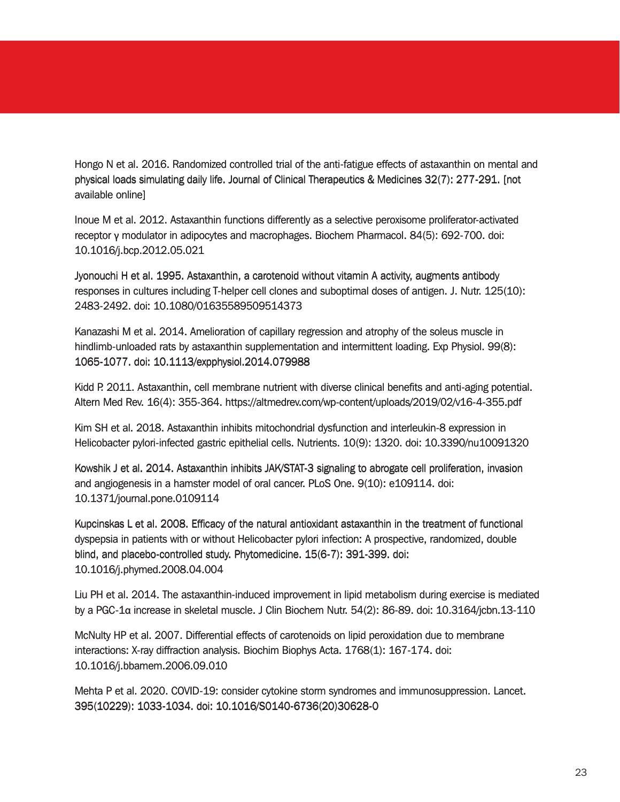Hongo N et al. 2016. Randomized controlled trial of the anti-fatigue effects of astaxanthin on mental and physical loads simulating daily life. Journal of Clinical Therapeutics & Medicines 32(7): 277-291. [not available online]

Inoue M et al. 2012. Astaxanthin functions differently as a selective peroxisome proliferator-activated receptor γ modulator in adipocytes and macrophages. Biochem Pharmacol. 84(5): 692-700. doi: 10.1016/j.bcp.2012.05.021

Jyonouchi H et al. 1995. Astaxanthin, a carotenoid without vitamin A activity, augments antibody responses in cultures including T-helper cell clones and suboptimal doses of antigen. J. Nutr. 125(10): 2483-2492. doi: 10.1080/01635589509514373

Kanazashi M et al. 2014. Amelioration of capillary regression and atrophy of the soleus muscle in hindlimb-unloaded rats by astaxanthin supplementation and intermittent loading. Exp Physiol. 99(8): 1065-1077. doi: 10.1113/expphysiol.2014.079988

Kidd P. 2011. Astaxanthin, cell membrane nutrient with diverse clinical benefits and anti-aging potential. Altern Med Rev. 16(4): 355-364. https://altmedrev.com/wp-content/uploads/2019/02/v16-4-355.pdf

Kim SH et al. 2018. Astaxanthin inhibits mitochondrial dysfunction and interleukin-8 expression in Helicobacter pylori-infected gastric epithelial cells. Nutrients. 10(9): 1320. doi: 10.3390/nu10091320

Kowshik J et al. 2014. Astaxanthin inhibits JAK/STAT-3 signaling to abrogate cell proliferation, invasion and angiogenesis in a hamster model of oral cancer. PLoS One. 9(10): e109114. doi: 10.1371/journal.pone.0109114

Kupcinskas L et al. 2008. Efficacy of the natural antioxidant astaxanthin in the treatment of functional dyspepsia in patients with or without Helicobacter pylori infection: A prospective, randomized, double blind, and placebo-controlled study. Phytomedicine. 15(6-7): 391-399. doi: 10.1016/j.phymed.2008.04.004 shi M et al. 2014. Amelioration of capillary regression and attophy of the soleus muscle in<br>shi M et al. 2014. Amelioration of capillary regression and intermittent beading. Exp Physiol. 99(8):<br>1077. doi: 10.11.13/expolysi

Liu PH et al. 2014. The astaxanthin-induced improvement in lipid metabolism during exercise is mediated by a PGC-1α increase in skeletal muscle. J Clin Biochem Nutr. 54(2): 86-89. doi: 10.3164/jcbn.13-110

McNulty HP et al. 2007. Differential effects of carotenoids on lipid peroxidation due to membrane interactions: X-ray diffraction analysis. Biochim Biophys Acta. 1768(1): 167-174. doi: 10.1016/j.bbamem.2006.09.010

Mehta P et al. 2020. COVID-19: consider cytokine storm syndromes and immunosuppression. Lancet. 395(10229): 1033-1034. doi: 10.1016/S0140-6736(20)30628-0